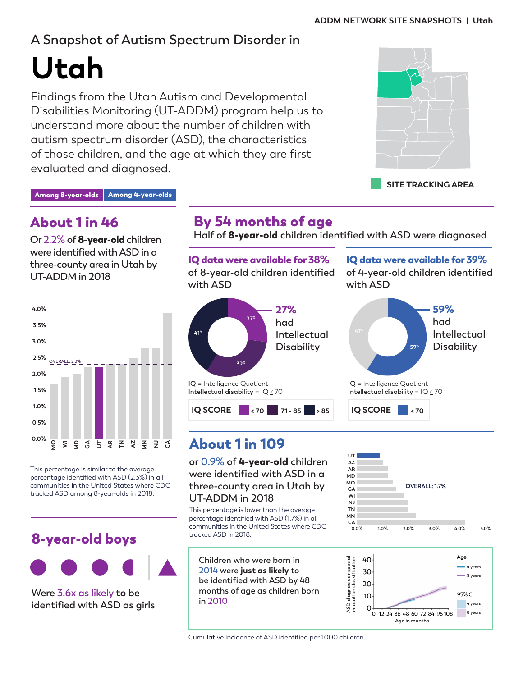# **A Snapshot of Autism Spectrum Disorder in**

**Utah**

Findings from the Utah Autism and Developmental Disabilities Monitoring (UT-ADDM) program help us to understand more about the number of children with autism spectrum disorder (ASD), the characteristics of those children, and the age at which they are first evaluated and diagnosed.



**SITE TRACKING AREA**

#### Among 8-year-olds Among 4-year-olds

## About 1 in 46

**Or 2.2% of** 8-year-old **children were identified with ASD in a three-county area in Utah by UT-ADDM in 2018**



This percentage is similar to the average percentage identified with ASD (2.3%) in all communities in the United States where CDC tracked ASD among 8-year-olds in 2018.

## 8-year-old boys



**Were 3.6x as likely to be identified with ASD as girls** 

## By 54 months of age

**Half of** 8-year-old **children identified with ASD were diagnosed**

IQ data were available for 38% **of 8-year-old children identified with ASD** 



# About 1 in 109

**or 0.9% of** 4-year-old **children were identified with ASD in a three-county area in Utah by UT-ADDM in 2018**

This percentage is lower than the average percentage identified with ASD (1.7%) in all communities in the United States where CDC tracked ASD in 2018.

**Children who were born in 2014 were just as likely to be identified with ASD by 48 months of age as children born in 2010**

IQ data were available for 39%

**of 4-year-old children identified with ASD** 







Cumulative incidence of ASD identified per 1000 children.